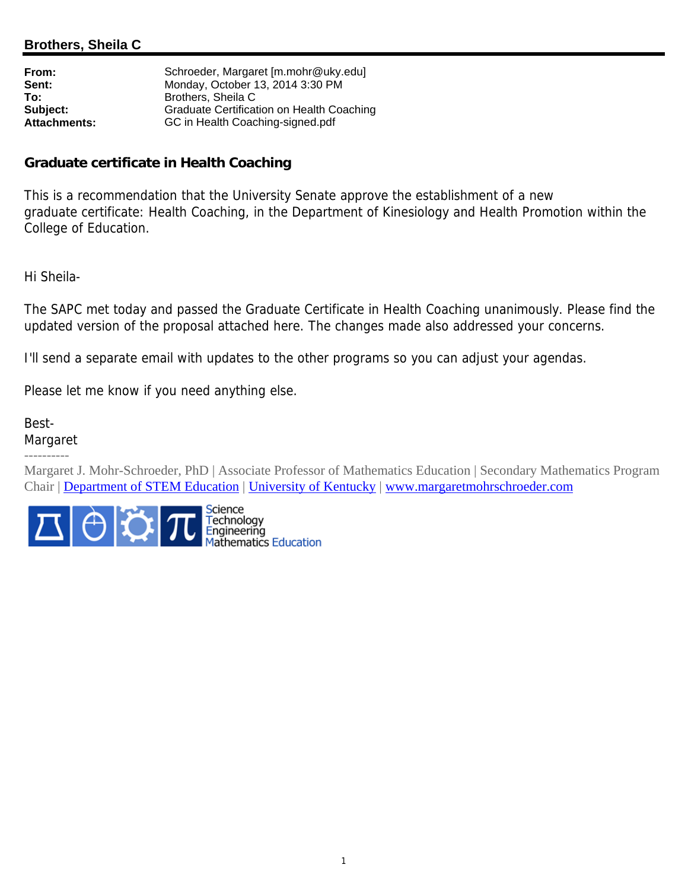## **Brothers, Sheila C**

| Schroeder, Margaret [m.mohr@uky.edu]             |
|--------------------------------------------------|
| Monday, October 13, 2014 3:30 PM                 |
| Brothers, Sheila C                               |
| <b>Graduate Certification on Health Coaching</b> |
| GC in Health Coaching-signed.pdf                 |
|                                                  |

## **Graduate certificate in Health Coaching**

This is a recommendation that the University Senate approve the establishment of a new graduate certificate: Health Coaching, in the Department of Kinesiology and Health Promotion within the College of Education.

Hi Sheila-

The SAPC met today and passed the Graduate Certificate in Health Coaching unanimously. Please find the updated version of the proposal attached here. The changes made also addressed your concerns.

I'll send a separate email with updates to the other programs so you can adjust your agendas.

Please let me know if you need anything else.

Best-Margaret ----------

Margaret J. Mohr-Schroeder, PhD | Associate Professor of Mathematics Education | Secondary Mathematics Program Chair | Department of STEM Education | University of Kentucky | www.margaretmohrschroeder.com

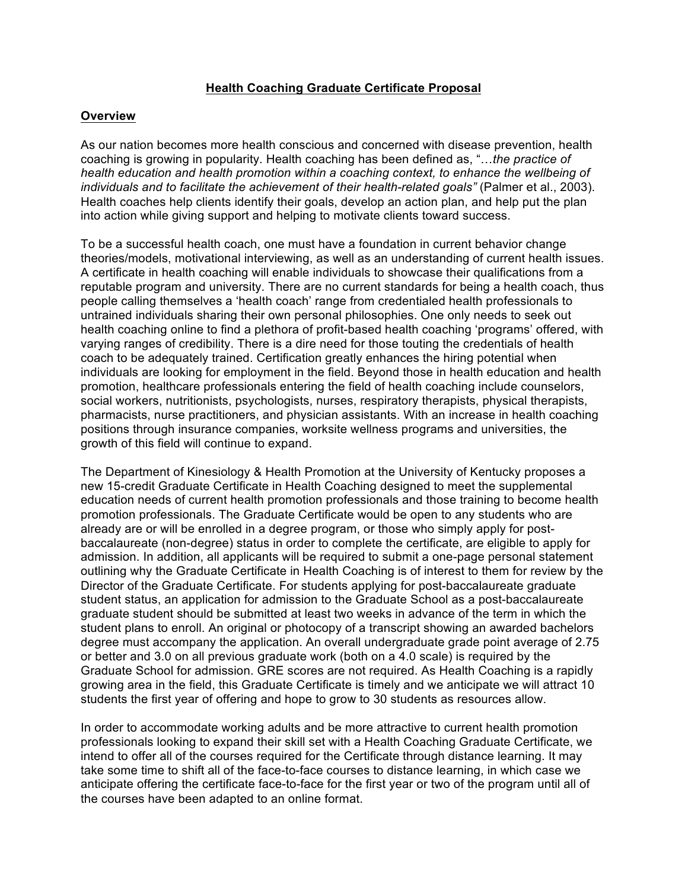## **Health Coaching Graduate Certificate Proposal**

#### **Overview**

As our nation becomes more health conscious and concerned with disease prevention, health coaching is growing in popularity. Health coaching has been defined as, "…*the practice of health education and health promotion within a coaching context, to enhance the wellbeing of*  individuals and to facilitate the achievement of their health-related goals" (Palmer et al., 2003). Health coaches help clients identify their goals, develop an action plan, and help put the plan into action while giving support and helping to motivate clients toward success.

To be a successful health coach, one must have a foundation in current behavior change theories/models, motivational interviewing, as well as an understanding of current health issues. A certificate in health coaching will enable individuals to showcase their qualifications from a reputable program and university. There are no current standards for being a health coach, thus people calling themselves a 'health coach' range from credentialed health professionals to untrained individuals sharing their own personal philosophies. One only needs to seek out health coaching online to find a plethora of profit-based health coaching 'programs' offered, with varying ranges of credibility. There is a dire need for those touting the credentials of health coach to be adequately trained. Certification greatly enhances the hiring potential when individuals are looking for employment in the field. Beyond those in health education and health promotion, healthcare professionals entering the field of health coaching include counselors, social workers, nutritionists, psychologists, nurses, respiratory therapists, physical therapists, pharmacists, nurse practitioners, and physician assistants. With an increase in health coaching positions through insurance companies, worksite wellness programs and universities, the growth of this field will continue to expand.

The Department of Kinesiology & Health Promotion at the University of Kentucky proposes a new 15-credit Graduate Certificate in Health Coaching designed to meet the supplemental education needs of current health promotion professionals and those training to become health promotion professionals. The Graduate Certificate would be open to any students who are already are or will be enrolled in a degree program, or those who simply apply for postbaccalaureate (non-degree) status in order to complete the certificate, are eligible to apply for admission. In addition, all applicants will be required to submit a one-page personal statement outlining why the Graduate Certificate in Health Coaching is of interest to them for review by the Director of the Graduate Certificate. For students applying for post-baccalaureate graduate student status, an application for admission to the Graduate School as a post-baccalaureate graduate student should be submitted at least two weeks in advance of the term in which the student plans to enroll. An original or photocopy of a transcript showing an awarded bachelors degree must accompany the application. An overall undergraduate grade point average of 2.75 or better and 3.0 on all previous graduate work (both on a 4.0 scale) is required by the Graduate School for admission. GRE scores are not required. As Health Coaching is a rapidly growing area in the field, this Graduate Certificate is timely and we anticipate we will attract 10 students the first year of offering and hope to grow to 30 students as resources allow.

In order to accommodate working adults and be more attractive to current health promotion professionals looking to expand their skill set with a Health Coaching Graduate Certificate, we intend to offer all of the courses required for the Certificate through distance learning. It may take some time to shift all of the face-to-face courses to distance learning, in which case we anticipate offering the certificate face-to-face for the first year or two of the program until all of the courses have been adapted to an online format.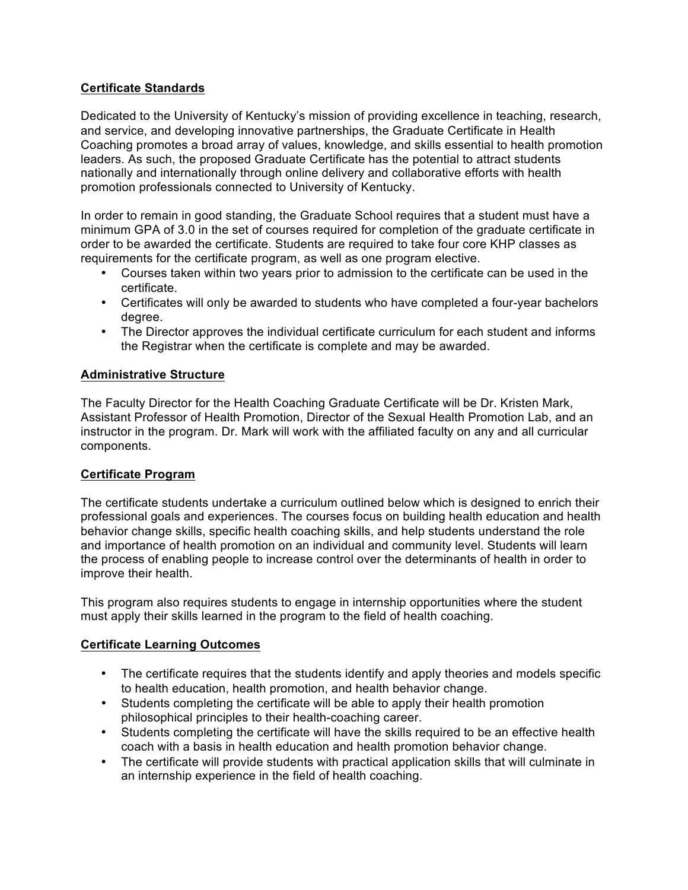## **Certificate Standards**

Dedicated to the University of Kentucky's mission of providing excellence in teaching, research, and service, and developing innovative partnerships, the Graduate Certificate in Health Coaching promotes a broad array of values, knowledge, and skills essential to health promotion leaders. As such, the proposed Graduate Certificate has the potential to attract students nationally and internationally through online delivery and collaborative efforts with health promotion professionals connected to University of Kentucky.

In order to remain in good standing, the Graduate School requires that a student must have a minimum GPA of 3.0 in the set of courses required for completion of the graduate certificate in order to be awarded the certificate. Students are required to take four core KHP classes as requirements for the certificate program, as well as one program elective.

- Courses taken within two years prior to admission to the certificate can be used in the certificate.
- Certificates will only be awarded to students who have completed a four-year bachelors degree.
- The Director approves the individual certificate curriculum for each student and informs the Registrar when the certificate is complete and may be awarded.

## **Administrative Structure**

The Faculty Director for the Health Coaching Graduate Certificate will be Dr. Kristen Mark, Assistant Professor of Health Promotion, Director of the Sexual Health Promotion Lab, and an instructor in the program. Dr. Mark will work with the affiliated faculty on any and all curricular components.

## **Certificate Program**

The certificate students undertake a curriculum outlined below which is designed to enrich their professional goals and experiences. The courses focus on building health education and health behavior change skills, specific health coaching skills, and help students understand the role and importance of health promotion on an individual and community level. Students will learn the process of enabling people to increase control over the determinants of health in order to improve their health.

This program also requires students to engage in internship opportunities where the student must apply their skills learned in the program to the field of health coaching.

## **Certificate Learning Outcomes**

- The certificate requires that the students identify and apply theories and models specific to health education, health promotion, and health behavior change.
- Students completing the certificate will be able to apply their health promotion philosophical principles to their health-coaching career.
- Students completing the certificate will have the skills required to be an effective health coach with a basis in health education and health promotion behavior change.
- The certificate will provide students with practical application skills that will culminate in an internship experience in the field of health coaching.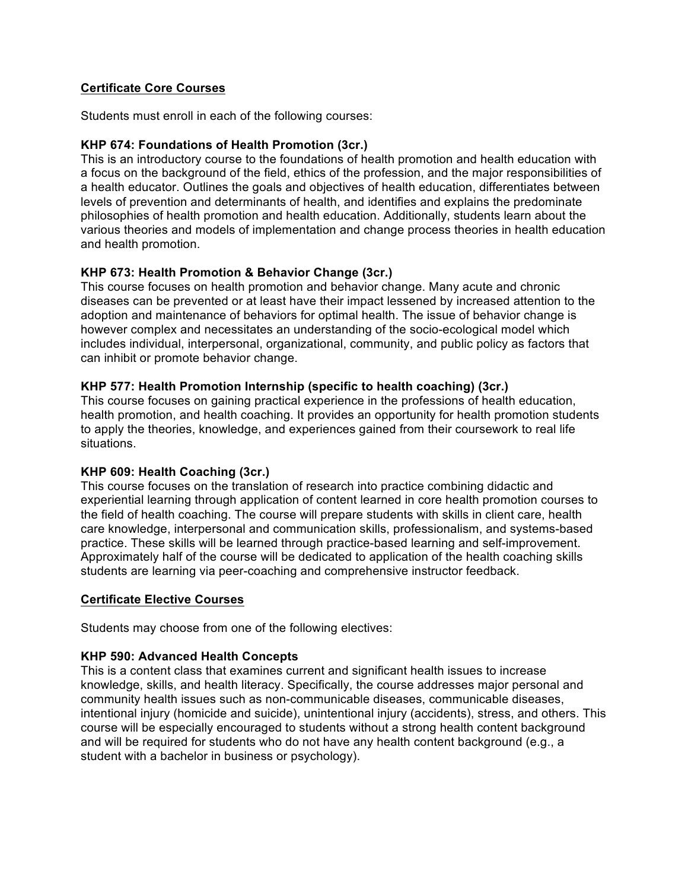## **Certificate Core Courses**

Students must enroll in each of the following courses:

### **KHP 674: Foundations of Health Promotion (3cr.)**

This is an introductory course to the foundations of health promotion and health education with a focus on the background of the field, ethics of the profession, and the major responsibilities of a health educator. Outlines the goals and objectives of health education, differentiates between levels of prevention and determinants of health, and identifies and explains the predominate philosophies of health promotion and health education. Additionally, students learn about the various theories and models of implementation and change process theories in health education and health promotion.

## **KHP 673: Health Promotion & Behavior Change (3cr.)**

This course focuses on health promotion and behavior change. Many acute and chronic diseases can be prevented or at least have their impact lessened by increased attention to the adoption and maintenance of behaviors for optimal health. The issue of behavior change is however complex and necessitates an understanding of the socio-ecological model which includes individual, interpersonal, organizational, community, and public policy as factors that can inhibit or promote behavior change.

## **KHP 577: Health Promotion Internship (specific to health coaching) (3cr.)**

This course focuses on gaining practical experience in the professions of health education, health promotion, and health coaching. It provides an opportunity for health promotion students to apply the theories, knowledge, and experiences gained from their coursework to real life situations.

#### **KHP 609: Health Coaching (3cr.)**

This course focuses on the translation of research into practice combining didactic and experiential learning through application of content learned in core health promotion courses to the field of health coaching. The course will prepare students with skills in client care, health care knowledge, interpersonal and communication skills, professionalism, and systems-based practice. These skills will be learned through practice-based learning and self-improvement. Approximately half of the course will be dedicated to application of the health coaching skills students are learning via peer-coaching and comprehensive instructor feedback.

#### **Certificate Elective Courses**

Students may choose from one of the following electives:

#### **KHP 590: Advanced Health Concepts**

This is a content class that examines current and significant health issues to increase knowledge, skills, and health literacy. Specifically, the course addresses major personal and community health issues such as non-communicable diseases, communicable diseases, intentional injury (homicide and suicide), unintentional injury (accidents), stress, and others. This course will be especially encouraged to students without a strong health content background and will be required for students who do not have any health content background (e.g., a student with a bachelor in business or psychology).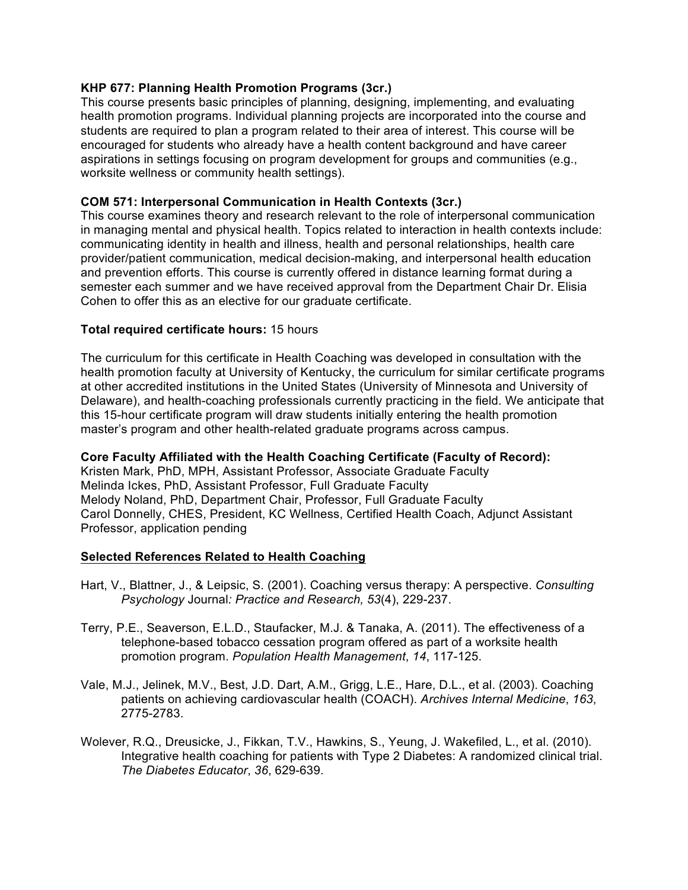## **KHP 677: Planning Health Promotion Programs (3cr.)**

This course presents basic principles of planning, designing, implementing, and evaluating health promotion programs. Individual planning projects are incorporated into the course and students are required to plan a program related to their area of interest. This course will be encouraged for students who already have a health content background and have career aspirations in settings focusing on program development for groups and communities (e.g., worksite wellness or community health settings).

### **COM 571: Interpersonal Communication in Health Contexts (3cr.)**

This course examines theory and research relevant to the role of interpersonal communication in managing mental and physical health. Topics related to interaction in health contexts include: communicating identity in health and illness, health and personal relationships, health care provider/patient communication, medical decision-making, and interpersonal health education and prevention efforts. This course is currently offered in distance learning format during a semester each summer and we have received approval from the Department Chair Dr. Elisia Cohen to offer this as an elective for our graduate certificate.

### **Total required certificate hours:** 15 hours

The curriculum for this certificate in Health Coaching was developed in consultation with the health promotion faculty at University of Kentucky, the curriculum for similar certificate programs at other accredited institutions in the United States (University of Minnesota and University of Delaware), and health-coaching professionals currently practicing in the field. We anticipate that this 15-hour certificate program will draw students initially entering the health promotion master's program and other health-related graduate programs across campus.

## **Core Faculty Affiliated with the Health Coaching Certificate (Faculty of Record):**

Kristen Mark, PhD, MPH, Assistant Professor, Associate Graduate Faculty Melinda Ickes, PhD, Assistant Professor, Full Graduate Faculty Melody Noland, PhD, Department Chair, Professor, Full Graduate Faculty Carol Donnelly, CHES, President, KC Wellness, Certified Health Coach, Adjunct Assistant Professor, application pending

#### **Selected References Related to Health Coaching**

- Hart, V., Blattner, J., & Leipsic, S. (2001). Coaching versus therapy: A perspective. *Consulting Psychology* Journal*: Practice and Research, 53*(4), 229-237.
- Terry, P.E., Seaverson, E.L.D., Staufacker, M.J. & Tanaka, A. (2011). The effectiveness of a telephone-based tobacco cessation program offered as part of a worksite health promotion program. *Population Health Management*, *14*, 117-125.
- Vale, M.J., Jelinek, M.V., Best, J.D. Dart, A.M., Grigg, L.E., Hare, D.L., et al. (2003). Coaching patients on achieving cardiovascular health (COACH). *Archives Internal Medicine*, *163*, 2775-2783.
- Wolever, R.Q., Dreusicke, J., Fikkan, T.V., Hawkins, S., Yeung, J. Wakefiled, L., et al. (2010). Integrative health coaching for patients with Type 2 Diabetes: A randomized clinical trial. *The Diabetes Educator*, *36*, 629-639.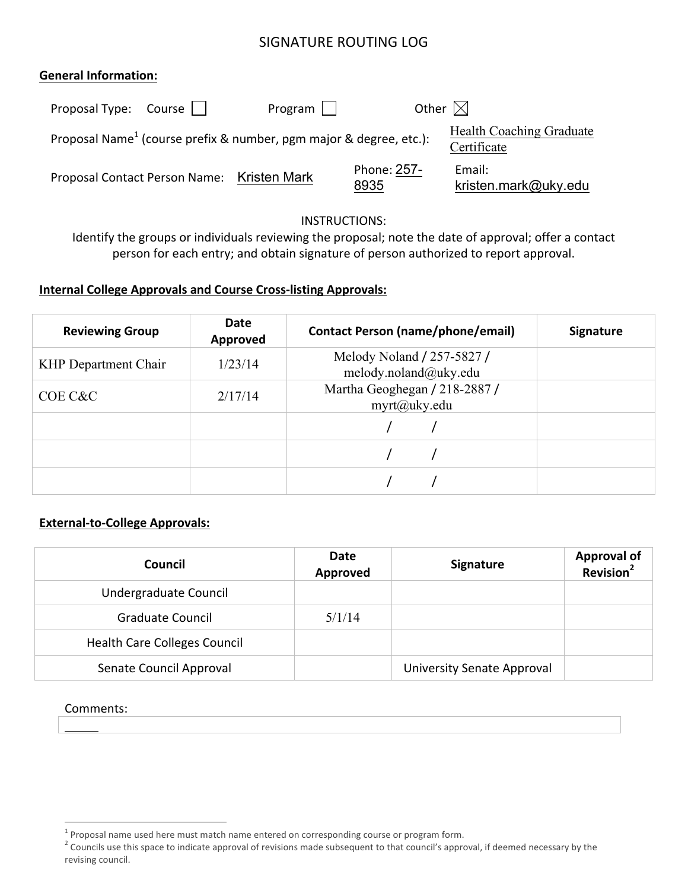# SIGNATURE ROUTING LOG

### **General Information:**

| Proposal Type: Course $\vert \vert$        | $Program \mid \cdot$                                                           | Other $\boxtimes$   |                                                |
|--------------------------------------------|--------------------------------------------------------------------------------|---------------------|------------------------------------------------|
|                                            | Proposal Name <sup>1</sup> (course prefix & number, pgm major & degree, etc.): |                     | <b>Health Coaching Graduate</b><br>Certificate |
| Proposal Contact Person Name: Kristen Mark |                                                                                | Phone: 257-<br>8935 | Email:<br>kristen.mark@uky.edu                 |

#### INSTRUCTIONS:

Identify the groups or individuals reviewing the proposal; note the date of approval; offer a contact person for each entry; and obtain signature of person authorized to report approval.

## **Internal College Approvals and Course Cross-listing Approvals:**

| <b>Reviewing Group</b>      | Date<br>Approved | <b>Contact Person (name/phone/email)</b>            | <b>Signature</b> |
|-----------------------------|------------------|-----------------------------------------------------|------------------|
| <b>KHP</b> Department Chair | 1/23/14          | Melody Noland / 257-5827 /<br>melody.noland@uky.edu |                  |
| COE C&C                     | 2/17/14          | Martha Geoghegan / 218-2887 /<br>$myrt(a)$ uky.edu  |                  |
|                             |                  |                                                     |                  |
|                             |                  |                                                     |                  |
|                             |                  |                                                     |                  |

## **External-to-College Approvals:**

| Council                             | Date<br>Approved | <b>Signature</b>           | Approval of<br>Revision <sup>2</sup> |
|-------------------------------------|------------------|----------------------------|--------------------------------------|
| Undergraduate Council               |                  |                            |                                      |
| <b>Graduate Council</b>             | 5/1/14           |                            |                                      |
| <b>Health Care Colleges Council</b> |                  |                            |                                      |
| Senate Council Approval             |                  | University Senate Approval |                                      |

#### Comments:

 $1$  Proposal name used here must match name entered on corresponding course or program form.

<sup>2</sup> Councils use this space to indicate approval of revisions made subsequent to that council's approval, if deemed necessary by the revising council.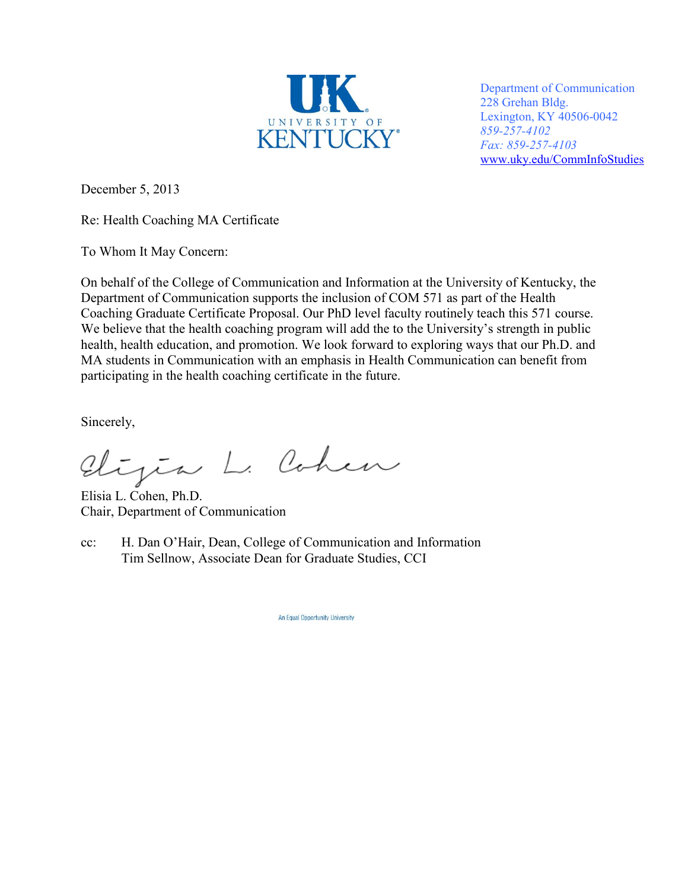

Department of Communication 228 Grehan Bldg. Lexington, KY 40506-0042 *859-257-4102 Fax: 859-257-4103*  www.uky.edu/CommInfoStudies

December 5, 2013

Re: Health Coaching MA Certificate

To Whom It May Concern:

On behalf of the College of Communication and Information at the University of Kentucky, the Department of Communication supports the inclusion of COM 571 as part of the Health Coaching Graduate Certificate Proposal. Our PhD level faculty routinely teach this 571 course. We believe that the health coaching program will add the to the University's strength in public health, health education, and promotion. We look forward to exploring ways that our Ph.D. and MA students in Communication with an emphasis in Health Communication can benefit from participating in the health coaching certificate in the future.

Sincerely,

Elizia L. Cohen

Elisia L. Cohen, Ph.D. Chair, Department of Communication

cc: H. Dan O'Hair, Dean, College of Communication and Information Tim Sellnow, Associate Dean for Graduate Studies, CCI

An Equal Opportunity University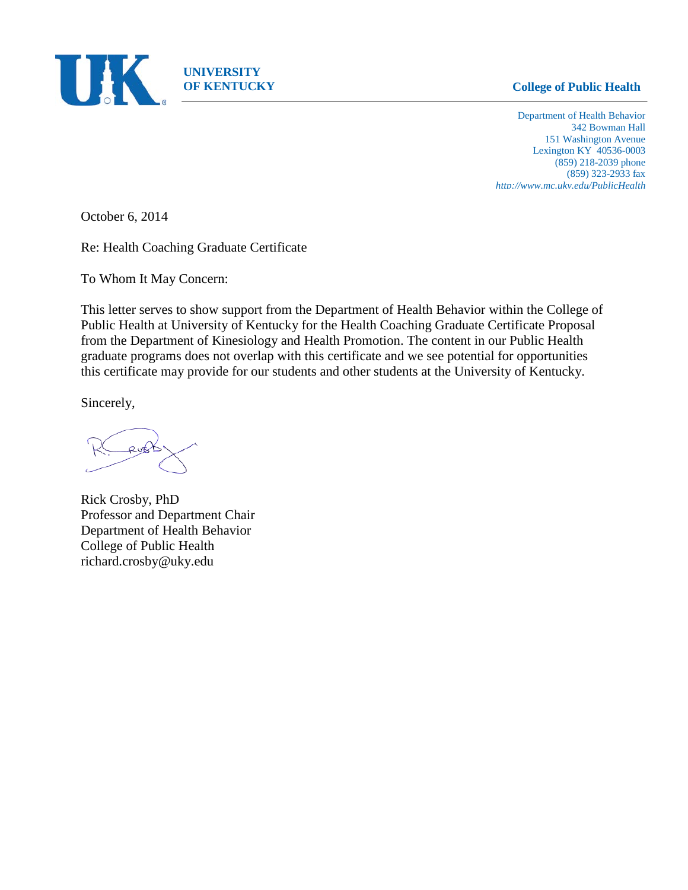

## **OF KENTUCKY College of Public Health**

Department of Health Behavior 342 Bowman Hall 151 Washington Avenue Lexington KY 40536-0003 (859) 218-2039 phone (859) 323-2933 fax *http://www.mc.uky.edu/PublicHealth*

October 6, 2014

Re: Health Coaching Graduate Certificate

To Whom It May Concern:

This letter serves to show support from the Department of Health Behavior within the College of Public Health at University of Kentucky for the Health Coaching Graduate Certificate Proposal from the Department of Kinesiology and Health Promotion. The content in our Public Health graduate programs does not overlap with this certificate and we see potential for opportunities this certificate may provide for our students and other students at the University of Kentucky.

Sincerely,

O u€

Rick Crosby, PhD Professor and Department Chair Department of Health Behavior College of Public Health richard.crosby@uky.edu